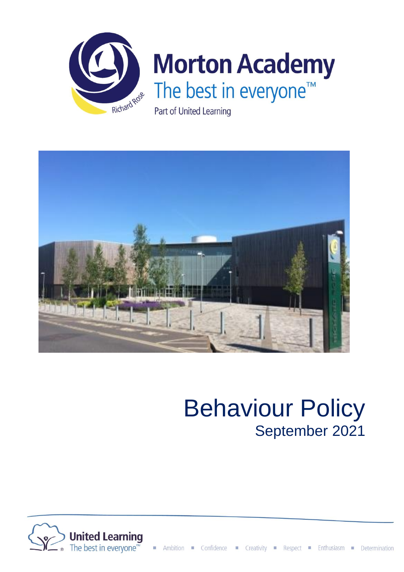



# Behaviour Policy September 2021

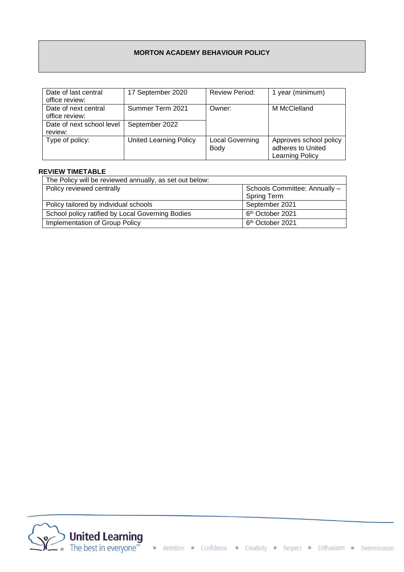## **MORTON ACADEMY BEHAVIOUR POLICY**

| Date of last central      | 17 September 2020      | <b>Review Period:</b>  | 1 year (minimum)       |
|---------------------------|------------------------|------------------------|------------------------|
| office review:            |                        |                        |                        |
| Date of next central      | Summer Term 2021       | Owner:                 | M McClelland           |
| office review:            |                        |                        |                        |
| Date of next school level | September 2022         |                        |                        |
| review:                   |                        |                        |                        |
| Type of policy:           | United Learning Policy | <b>Local Governing</b> | Approves school policy |
|                           |                        | <b>Body</b>            | adheres to United      |
|                           |                        |                        | <b>Learning Policy</b> |

#### **REVIEW TIMETABLE**

| The Policy will be reviewed annually, as set out below: |                               |  |  |  |
|---------------------------------------------------------|-------------------------------|--|--|--|
| Policy reviewed centrally                               | Schools Committee: Annually - |  |  |  |
|                                                         | <b>Spring Term</b>            |  |  |  |
| Policy tailored by individual schools                   | September 2021                |  |  |  |
| School policy ratified by Local Governing Bodies        | 6 <sup>th</sup> October 2021  |  |  |  |
| Implementation of Group Policy                          | 6 <sup>th</sup> October 2021  |  |  |  |

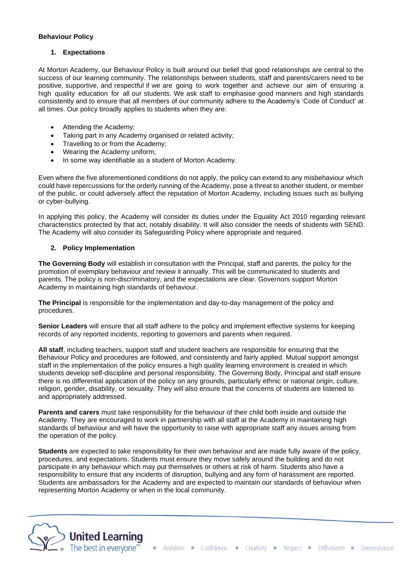#### **Behaviour Policy**

## **1. Expectations**

At Morton Academy, our Behaviour Policy is built around our belief that good relationships are central to the success of our learning community. The relationships between students, staff and parents/carers need to be positive, supportive, and respectful if we are going to work together and achieve our aim of ensuring a high quality education for all our students. We ask staff to emphasise good manners and high standards consistently and to ensure that all members of our community adhere to the Academy's 'Code of Conduct' at all times. Our policy broadly applies to students when they are:

- Attending the Academy;
- Taking part in any Academy organised or related activity;
- Travelling to or from the Academy;
- Wearing the Academy uniform;
- In some way identifiable as a student of Morton Academy.

Even where the five aforementioned conditions do not apply, the policy can extend to any misbehaviour which could have repercussions for the orderly running of the Academy, pose a threat to another student, or member of the public, or could adversely affect the reputation of Morton Academy, including issues such as bullying or cyber-bullying.

In applying this policy, the Academy will consider its duties under the Equality Act 2010 regarding relevant characteristics protected by that act, notably disability. It will also consider the needs of students with SEND. The Academy will also consider its Safeguarding Policy where appropriate and required.

## **2. Policy Implementation**

**The Governing Body** will establish in consultation with the Principal, staff and parents, the policy for the promotion of exemplary behaviour and review it annually. This will be communicated to students and parents. The policy is non-discriminatory, and the expectations are clear. Governors support Morton Academy in maintaining high standards of behaviour.

**The Principal** is responsible for the implementation and day-to-day management of the policy and procedures.

**Senior Leaders** will ensure that all staff adhere to the policy and implement effective systems for keeping records of any reported incidents, reporting to governors and parents when required.

**All staff**, including teachers, support staff and student teachers are responsible for ensuring that the Behaviour Policy and procedures are followed, and consistently and fairly applied. Mutual support amongst staff in the implementation of the policy ensures a high quality learning environment is created in which students develop self-discipline and personal responsibility. The Governing Body, Principal and staff ensure there is no differential application of the policy on any grounds, particularly ethnic or national origin, culture, religion, gender, disability, or sexuality. They will also ensure that the concerns of students are listened to and appropriately addressed.

**Parents and carers** must take responsibility for the behaviour of their child both inside and outside the Academy. They are encouraged to work in partnership with all staff at the Academy in maintaining high standards of behaviour and will have the opportunity to raise with appropriate staff any issues arising from the operation of the policy.

**Students** are expected to take responsibility for their own behaviour and are made fully aware of the policy, procedures, and expectations. Students must ensure they move safely around the building and do not participate in any behaviour which may put themselves or others at risk of harm. Students also have a responsibility to ensure that any incidents of disruption, bullying and any form of harassment are reported. Students are ambassadors for the Academy and are expected to maintain our standards of behaviour when representing Morton Academy or when in the local community.

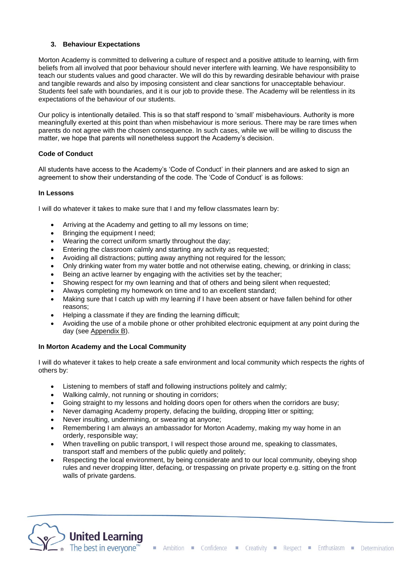## **3. Behaviour Expectations**

Morton Academy is committed to delivering a culture of respect and a positive attitude to learning, with firm beliefs from all involved that poor behaviour should never interfere with learning. We have responsibility to teach our students values and good character. We will do this by rewarding desirable behaviour with praise and tangible rewards and also by imposing consistent and clear sanctions for unacceptable behaviour. Students feel safe with boundaries, and it is our job to provide these. The Academy will be relentless in its expectations of the behaviour of our students.

Our policy is intentionally detailed. This is so that staff respond to 'small' misbehaviours. Authority is more meaningfully exerted at this point than when misbehaviour is more serious. There may be rare times when parents do not agree with the chosen consequence. In such cases, while we will be willing to discuss the matter, we hope that parents will nonetheless support the Academy's decision.

## **Code of Conduct**

All students have access to the Academy's 'Code of Conduct' in their planners and are asked to sign an agreement to show their understanding of the code. The 'Code of Conduct' is as follows:

#### **In Lessons**

I will do whatever it takes to make sure that I and my fellow classmates learn by:

- Arriving at the Academy and getting to all my lessons on time;
- Bringing the equipment I need;
- Wearing the correct uniform smartly throughout the day;
- Entering the classroom calmly and starting any activity as requested;
- Avoiding all distractions; putting away anything not required for the lesson;
- Only drinking water from my water bottle and not otherwise eating, chewing, or drinking in class;
- Being an active learner by engaging with the activities set by the teacher;
- Showing respect for my own learning and that of others and being silent when requested;
- Always completing my homework on time and to an excellent standard;
- Making sure that I catch up with my learning if I have been absent or have fallen behind for other reasons;
- Helping a classmate if they are finding the learning difficult;
- Avoiding the use of a mobile phone or other prohibited electronic equipment at any point during the day (see Appendix B).

## **In Morton Academy and the Local Community**

I will do whatever it takes to help create a safe environment and local community which respects the rights of others by:

- Listening to members of staff and following instructions politely and calmly;
- Walking calmly, not running or shouting in corridors;
- Going straight to my lessons and holding doors open for others when the corridors are busy;
- Never damaging Academy property, defacing the building, dropping litter or spitting;
- Never insulting, undermining, or swearing at anyone;
- Remembering I am always an ambassador for Morton Academy, making my way home in an orderly, responsible way;
- When travelling on public transport, I will respect those around me, speaking to classmates, transport staff and members of the public quietly and politely;
- Respecting the local environment, by being considerate and to our local community, obeying shop rules and never dropping litter, defacing, or trespassing on private property e.g. sitting on the front walls of private gardens.

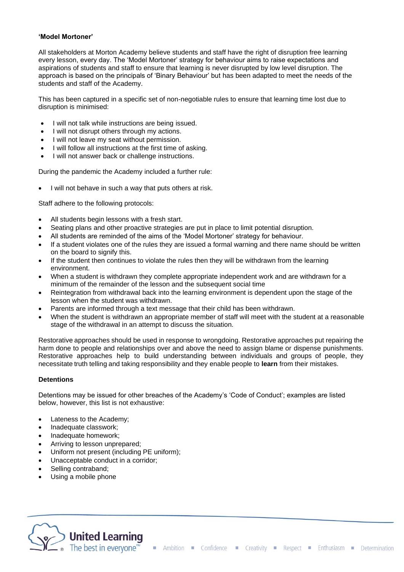#### **'Model Mortoner'**

All stakeholders at Morton Academy believe students and staff have the right of disruption free learning every lesson, every day. The 'Model Mortoner' strategy for behaviour aims to raise expectations and aspirations of students and staff to ensure that learning is never disrupted by low level disruption. The approach is based on the principals of 'Binary Behaviour' but has been adapted to meet the needs of the students and staff of the Academy.

This has been captured in a specific set of non-negotiable rules to ensure that learning time lost due to disruption is minimised:

- I will not talk while instructions are being issued.
- I will not disrupt others through my actions.
- I will not leave my seat without permission.
- I will follow all instructions at the first time of asking.
- I will not answer back or challenge instructions.

During the pandemic the Academy included a further rule:

• I will not behave in such a way that puts others at risk.

Staff adhere to the following protocols:

- All students begin lessons with a fresh start.
- Seating plans and other proactive strategies are put in place to limit potential disruption.
- All students are reminded of the aims of the 'Model Mortoner' strategy for behaviour.
- If a student violates one of the rules they are issued a formal warning and there name should be written on the board to signify this.
- If the student then continues to violate the rules then they will be withdrawn from the learning environment.
- When a student is withdrawn they complete appropriate independent work and are withdrawn for a minimum of the remainder of the lesson and the subsequent social time
- Reintegration from withdrawal back into the learning environment is dependent upon the stage of the lesson when the student was withdrawn.
- Parents are informed through a text message that their child has been withdrawn.
- When the student is withdrawn an appropriate member of staff will meet with the student at a reasonable stage of the withdrawal in an attempt to discuss the situation.

Restorative approaches should be used in response to wrongdoing. Restorative approaches put repairing the harm done to people and relationships over and above the need to assign blame or dispense punishments. Restorative approaches help to build understanding between individuals and groups of people, they necessitate truth telling and taking responsibility and they enable people to **learn** from their mistakes.

#### **Detentions**

Detentions may be issued for other breaches of the Academy's 'Code of Conduct'; examples are listed below, however, this list is not exhaustive:

- Lateness to the Academy;
- Inadequate classwork;
- Inadequate homework;
- Arriving to lesson unprepared;
- Uniform not present (including PE uniform);
- Unacceptable conduct in a corridor;
- Selling contraband;
- Using a mobile phone

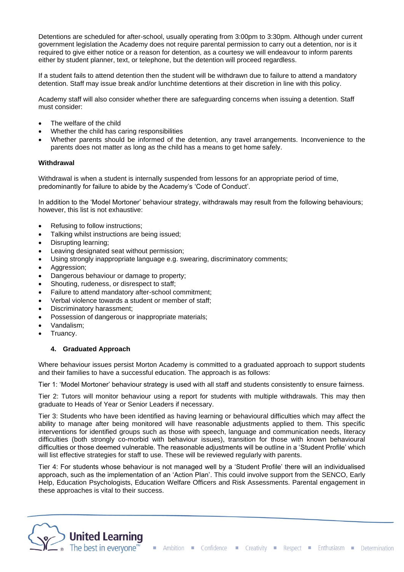Detentions are scheduled for after-school, usually operating from 3:00pm to 3:30pm. Although under current government legislation the Academy does not require parental permission to carry out a detention, nor is it required to give either notice or a reason for detention, as a courtesy we will endeavour to inform parents either by student planner, text, or telephone, but the detention will proceed regardless.

If a student fails to attend detention then the student will be withdrawn due to failure to attend a mandatory detention. Staff may issue break and/or lunchtime detentions at their discretion in line with this policy.

Academy staff will also consider whether there are safeguarding concerns when issuing a detention. Staff must consider:

- The welfare of the child
- Whether the child has caring responsibilities
- Whether parents should be informed of the detention, any travel arrangements. Inconvenience to the parents does not matter as long as the child has a means to get home safely.

#### **Withdrawal**

Withdrawal is when a student is internally suspended from lessons for an appropriate period of time, predominantly for failure to abide by the Academy's 'Code of Conduct'.

In addition to the 'Model Mortoner' behaviour strategy, withdrawals may result from the following behaviours; however, this list is not exhaustive:

- Refusing to follow instructions;
- Talking whilst instructions are being issued;
- Disrupting learning;
- Leaving designated seat without permission;
- Using strongly inappropriate language e.g. swearing, discriminatory comments;
- Aggression;
- Dangerous behaviour or damage to property;
- Shouting, rudeness, or disrespect to staff;
- Failure to attend mandatory after-school commitment;
- Verbal violence towards a student or member of staff;
- Discriminatory harassment;
- Possession of dangerous or inappropriate materials;
- Vandalism;
- Truancy.

## **4. Graduated Approach**

Where behaviour issues persist Morton Academy is committed to a graduated approach to support students and their families to have a successful education. The approach is as follows:

Tier 1: 'Model Mortoner' behaviour strategy is used with all staff and students consistently to ensure fairness.

Tier 2: Tutors will monitor behaviour using a report for students with multiple withdrawals. This may then graduate to Heads of Year or Senior Leaders if necessary.

Tier 3: Students who have been identified as having learning or behavioural difficulties which may affect the ability to manage after being monitored will have reasonable adjustments applied to them. This specific interventions for identified groups such as those with speech, language and communication needs, literacy difficulties (both strongly co-morbid with behaviour issues), transition for those with known behavioural difficulties or those deemed vulnerable. The reasonable adjustments will be outline in a 'Student Profile' which will list effective strategies for staff to use. These will be reviewed regularly with parents.

Tier 4: For students whose behaviour is not managed well by a 'Student Profile' there will an individualised approach, such as the implementation of an 'Action Plan'. This could involve support from the SENCO, Early Help, Education Psychologists, Education Welfare Officers and Risk Assessments. Parental engagement in these approaches is vital to their success.

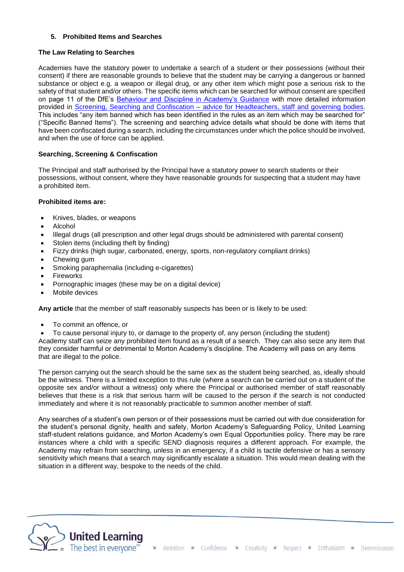## **5. Prohibited Items and Searches**

## **The Law Relating to Searches**

Academies have the statutory power to undertake a search of a student or their possessions (without their consent) if there are reasonable grounds to believe that the student may be carrying a dangerous or banned substance or object e.g. a weapon or illegal drug, or any other item which might pose a serious risk to the safety of that student and/or others. The specific items which can be searched for without consent are specified on page 11 of the DfE's [Behaviour and Discipline in Academy's Guidance](https://www.gov.uk/government/publications/behaviour-and-discipline-in-schools) with more detailed information provided in Screening, Searching and Confiscation - [advice for Headteachers, staff and governing bodies.](https://assets.publishing.service.gov.uk/government/uploads/system/uploads/attachment_data/file/674416/Searching_screening_and_confiscation.pdf) This includes "any item banned which has been identified in the rules as an item which may be searched for" ("Specific Banned Items"). The screening and searching advice details what should be done with items that have been confiscated during a search, including the circumstances under which the police should be involved, and when the use of force can be applied.

## **Searching, Screening & Confiscation**

The Principal and staff authorised by the Principal have a statutory power to search students or their possessions, without consent, where they have reasonable grounds for suspecting that a student may have a prohibited item.

#### **Prohibited items are:**

- Knives, blades, or weapons
- Alcohol
- Illegal drugs (all prescription and other legal drugs should be administered with parental consent)
- Stolen items (including theft by finding)
- Fizzy drinks (high sugar, carbonated, energy, sports, non-regulatory compliant drinks)
- Chewing gum
- Smoking paraphernalia (including e-cigarettes)
- **Fireworks**
- Pornographic images (these may be on a digital device)
- Mobile devices

**Any article** that the member of staff reasonably suspects has been or is likely to be used:

- To commit an offence, or
- To cause personal injury to, or damage to the property of, any person (including the student)

Academy staff can seize any prohibited item found as a result of a search. They can also seize any item that they consider harmful or detrimental to Morton Academy's discipline. The Academy will pass on any items that are illegal to the police.

The person carrying out the search should be the same sex as the student being searched, as, ideally should be the witness. There is a limited exception to this rule (where a search can be carried out on a student of the opposite sex and/or without a witness) only where the Principal or authorised member of staff reasonably believes that these is a risk that serious harm will be caused to the person if the search is not conducted immediately and where it is not reasonably practicable to summon another member of staff.

Any searches of a student's own person or of their possessions must be carried out with due consideration for the student's personal dignity, health and safety, Morton Academy's Safeguarding Policy, United Learning staff-student relations guidance, and Morton Academy's own Equal Opportunities policy. There may be rare instances where a child with a specific SEND diagnosis requires a different approach. For example, the Academy may refrain from searching, unless in an emergency, if a child is tactile defensive or has a sensory sensitivity which means that a search may significantly escalate a situation. This would mean dealing with the situation in a different way, bespoke to the needs of the child.

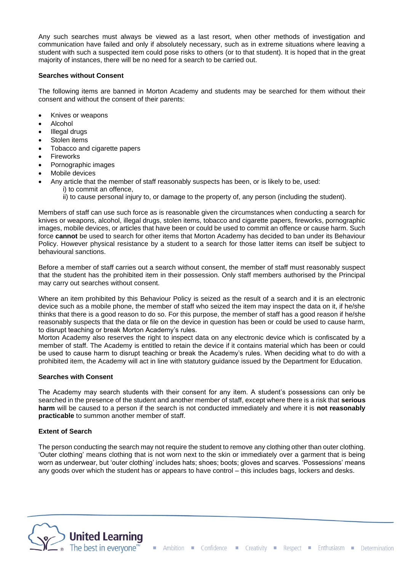Any such searches must always be viewed as a last resort, when other methods of investigation and communication have failed and only if absolutely necessary, such as in extreme situations where leaving a student with such a suspected item could pose risks to others (or to that student). It is hoped that in the great majority of instances, there will be no need for a search to be carried out.

#### **Searches without Consent**

The following items are banned in Morton Academy and students may be searched for them without their consent and without the consent of their parents:

- Knives or weapons
- Alcohol
- Illegal drugs
- Stolen items
- Tobacco and cigarette papers
- Fireworks
- Pornographic images
- Mobile devices
- Any article that the member of staff reasonably suspects has been, or is likely to be, used: i) to commit an offence,
	- ii) to cause personal injury to, or damage to the property of, any person (including the student).

Members of staff can use such force as is reasonable given the circumstances when conducting a search for knives or weapons, alcohol, illegal drugs, stolen items, tobacco and cigarette papers, fireworks, pornographic images, mobile devices, or articles that have been or could be used to commit an offence or cause harm. Such force **cannot** be used to search for other items that Morton Academy has decided to ban under its Behaviour Policy. However physical resistance by a student to a search for those latter items can itself be subject to behavioural sanctions.

Before a member of staff carries out a search without consent, the member of staff must reasonably suspect that the student has the prohibited item in their possession. Only staff members authorised by the Principal may carry out searches without consent.

Where an item prohibited by this Behaviour Policy is seized as the result of a search and it is an electronic device such as a mobile phone, the member of staff who seized the item may inspect the data on it, if he/she thinks that there is a good reason to do so. For this purpose, the member of staff has a good reason if he/she reasonably suspects that the data or file on the device in question has been or could be used to cause harm, to disrupt teaching or break Morton Academy's rules.

Morton Academy also reserves the right to inspect data on any electronic device which is confiscated by a member of staff. The Academy is entitled to retain the device if it contains material which has been or could be used to cause harm to disrupt teaching or break the Academy's rules. When deciding what to do with a prohibited item, the Academy will act in line with statutory guidance issued by the Department for Education.

## **Searches with Consent**

The Academy may search students with their consent for any item. A student's possessions can only be searched in the presence of the student and another member of staff, except where there is a risk that **serious harm** will be caused to a person if the search is not conducted immediately and where it is **not reasonably practicable** to summon another member of staff.

#### **Extent of Search**

The person conducting the search may not require the student to remove any clothing other than outer clothing. 'Outer clothing' means clothing that is not worn next to the skin or immediately over a garment that is being worn as underwear, but 'outer clothing' includes hats; shoes; boots; gloves and scarves. 'Possessions' means any goods over which the student has or appears to have control – this includes bags, lockers and desks.

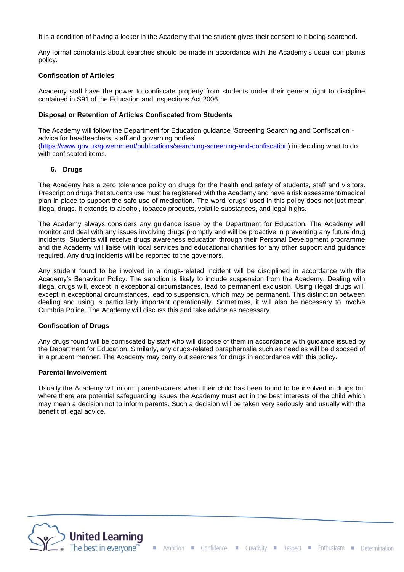It is a condition of having a locker in the Academy that the student gives their consent to it being searched.

Any formal complaints about searches should be made in accordance with the Academy's usual complaints policy.

#### **Confiscation of Articles**

Academy staff have the power to confiscate property from students under their general right to discipline contained in S91 of the Education and Inspections Act 2006.

#### **Disposal or Retention of Articles Confiscated from Students**

The Academy will follow the Department for Education guidance 'Screening Searching and Confiscation advice for headteachers, staff and governing bodies' [\(https://www.gov.uk/government/publications/searching-screening-and-confiscation\)](https://www.gov.uk/government/publications/searching-screening-and-confiscation) in deciding what to do with confiscated items.

#### **6. Drugs**

The Academy has a zero tolerance policy on drugs for the health and safety of students, staff and visitors. Prescription drugs that students use must be registered with the Academy and have a risk assessment/medical plan in place to support the safe use of medication. The word 'drugs' used in this policy does not just mean illegal drugs. It extends to alcohol, tobacco products, volatile substances, and legal highs.

The Academy always considers any guidance issue by the Department for Education. The Academy will monitor and deal with any issues involving drugs promptly and will be proactive in preventing any future drug incidents. Students will receive drugs awareness education through their Personal Development programme and the Academy will liaise with local services and educational charities for any other support and guidance required. Any drug incidents will be reported to the governors.

Any student found to be involved in a drugs-related incident will be disciplined in accordance with the Academy's Behaviour Policy. The sanction is likely to include suspension from the Academy. Dealing with illegal drugs will, except in exceptional circumstances, lead to permanent exclusion. Using illegal drugs will, except in exceptional circumstances, lead to suspension, which may be permanent. This distinction between dealing and using is particularly important operationally. Sometimes, it will also be necessary to involve Cumbria Police. The Academy will discuss this and take advice as necessary.

#### **Confiscation of Drugs**

Any drugs found will be confiscated by staff who will dispose of them in accordance with guidance issued by the Department for Education. Similarly, any drugs-related paraphernalia such as needles will be disposed of in a prudent manner. The Academy may carry out searches for drugs in accordance with this policy.

#### **Parental Involvement**

Usually the Academy will inform parents/carers when their child has been found to be involved in drugs but where there are potential safeguarding issues the Academy must act in the best interests of the child which may mean a decision not to inform parents. Such a decision will be taken very seriously and usually with the benefit of legal advice.

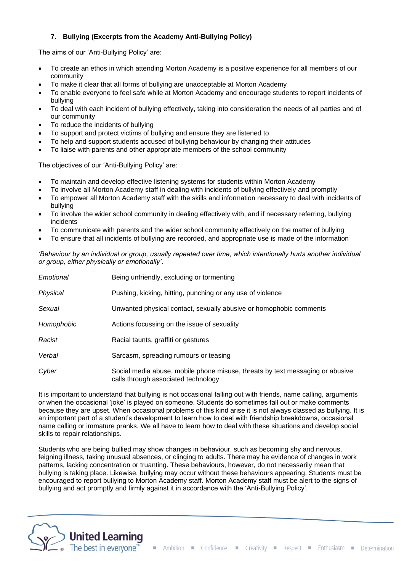## **7. Bullying (Excerpts from the Academy Anti-Bullying Policy)**

The aims of our 'Anti-Bullying Policy' are:

- To create an ethos in which attending Morton Academy is a positive experience for all members of our community
- To make it clear that all forms of bullying are unacceptable at Morton Academy
- To enable everyone to feel safe while at Morton Academy and encourage students to report incidents of bullying
- To deal with each incident of bullying effectively, taking into consideration the needs of all parties and of our community
- To reduce the incidents of bullying
- To support and protect victims of bullying and ensure they are listened to
- To help and support students accused of bullying behaviour by changing their attitudes
- To liaise with parents and other appropriate members of the school community

The objectives of our 'Anti-Bullying Policy' are:

- To maintain and develop effective listening systems for students within Morton Academy
- To involve all Morton Academy staff in dealing with incidents of bullying effectively and promptly
- To empower all Morton Academy staff with the skills and information necessary to deal with incidents of bullying
- To involve the wider school community in dealing effectively with, and if necessary referring, bullying incidents
- To communicate with parents and the wider school community effectively on the matter of bullying
- To ensure that all incidents of bullying are recorded, and appropriate use is made of the information

*'Behaviour by an individual or group, usually repeated over time, which intentionally hurts another individual or group, either physically or emotionally'*.

| Emotional  | Being unfriendly, excluding or tormenting                                                                            |
|------------|----------------------------------------------------------------------------------------------------------------------|
| Physical   | Pushing, kicking, hitting, punching or any use of violence                                                           |
| Sexual     | Unwanted physical contact, sexually abusive or homophobic comments                                                   |
| Homophobic | Actions focussing on the issue of sexuality                                                                          |
| Racist     | Racial taunts, graffiti or gestures                                                                                  |
| Verbal     | Sarcasm, spreading rumours or teasing                                                                                |
| Cyber      | Social media abuse, mobile phone misuse, threats by text messaging or abusive<br>calls through associated technology |

It is important to understand that bullying is not occasional falling out with friends, name calling, arguments or when the occasional 'joke' is played on someone. Students do sometimes fall out or make comments because they are upset. When occasional problems of this kind arise it is not always classed as bullying. It is an important part of a student's development to learn how to deal with friendship breakdowns, occasional name calling or immature pranks. We all have to learn how to deal with these situations and develop social skills to repair relationships.

Students who are being bullied may show changes in behaviour, such as becoming shy and nervous, feigning illness, taking unusual absences, or clinging to adults. There may be evidence of changes in work patterns, lacking concentration or truanting. These behaviours, however, do not necessarily mean that bullying is taking place. Likewise, bullying may occur without these behaviours appearing. Students must be encouraged to report bullying to Morton Academy staff. Morton Academy staff must be alert to the signs of bullying and act promptly and firmly against it in accordance with the 'Anti-Bullying Policy'.

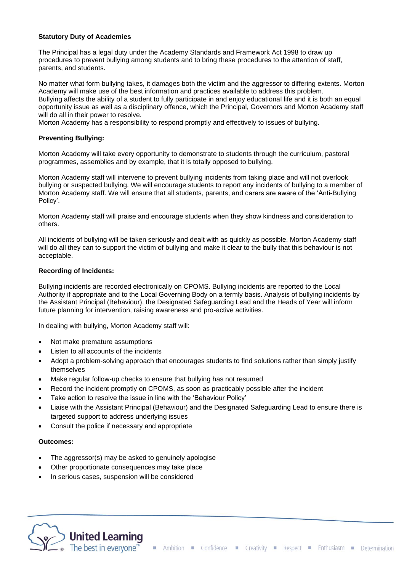#### **Statutory Duty of Academies**

The Principal has a legal duty under the Academy Standards and Framework Act 1998 to draw up procedures to prevent bullying among students and to bring these procedures to the attention of staff, parents, and students.

No matter what form bullying takes, it damages both the victim and the aggressor to differing extents. Morton Academy will make use of the best information and practices available to address this problem. Bullying affects the ability of a student to fully participate in and enjoy educational life and it is both an equal opportunity issue as well as a disciplinary offence, which the Principal, Governors and Morton Academy staff will do all in their power to resolve.

Morton Academy has a responsibility to respond promptly and effectively to issues of bullying.

## **Preventing Bullying:**

Morton Academy will take every opportunity to demonstrate to students through the curriculum, pastoral programmes, assemblies and by example, that it is totally opposed to bullying.

Morton Academy staff will intervene to prevent bullying incidents from taking place and will not overlook bullying or suspected bullying. We will encourage students to report any incidents of bullying to a member of Morton Academy staff. We will ensure that all students, parents, and carers are aware of the 'Anti-Bullying Policy'.

Morton Academy staff will praise and encourage students when they show kindness and consideration to others.

All incidents of bullying will be taken seriously and dealt with as quickly as possible. Morton Academy staff will do all they can to support the victim of bullying and make it clear to the bully that this behaviour is not acceptable.

#### **Recording of Incidents:**

Bullying incidents are recorded electronically on CPOMS. Bullying incidents are reported to the Local Authority if appropriate and to the Local Governing Body on a termly basis. Analysis of bullying incidents by the Assistant Principal (Behaviour), the Designated Safeguarding Lead and the Heads of Year will inform future planning for intervention, raising awareness and pro-active activities.

In dealing with bullying, Morton Academy staff will:

- Not make premature assumptions
- Listen to all accounts of the incidents
- Adopt a problem-solving approach that encourages students to find solutions rather than simply justify themselves
- Make regular follow-up checks to ensure that bullying has not resumed
- Record the incident promptly on CPOMS, as soon as practicably possible after the incident
- Take action to resolve the issue in line with the 'Behaviour Policy'
- Liaise with the Assistant Principal (Behaviour) and the Designated Safeguarding Lead to ensure there is targeted support to address underlying issues
- Consult the police if necessary and appropriate

#### **Outcomes:**

- The aggressor(s) may be asked to genuinely apologise
- Other proportionate consequences may take place
- In serious cases, suspension will be considered

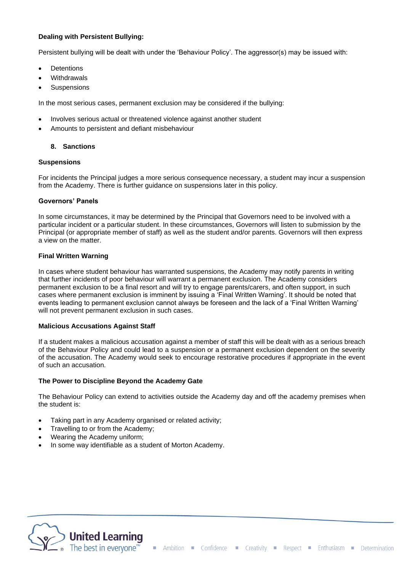## **Dealing with Persistent Bullying:**

Persistent bullying will be dealt with under the 'Behaviour Policy'. The aggressor(s) may be issued with:

- **Detentions**
- **Withdrawals**
- **Suspensions**

In the most serious cases, permanent exclusion may be considered if the bullying:

- Involves serious actual or threatened violence against another student
- Amounts to persistent and defiant misbehaviour

## **8. Sanctions**

## **Suspensions**

For incidents the Principal judges a more serious consequence necessary, a student may incur a suspension from the Academy. There is further guidance on suspensions later in this policy.

## **Governors' Panels**

In some circumstances, it may be determined by the Principal that Governors need to be involved with a particular incident or a particular student. In these circumstances, Governors will listen to submission by the Principal (or appropriate member of staff) as well as the student and/or parents. Governors will then express a view on the matter.

## **Final Written Warning**

In cases where student behaviour has warranted suspensions, the Academy may notify parents in writing that further incidents of poor behaviour will warrant a permanent exclusion. The Academy considers permanent exclusion to be a final resort and will try to engage parents/carers, and often support, in such cases where permanent exclusion is imminent by issuing a 'Final Written Warning'. It should be noted that events leading to permanent exclusion cannot always be foreseen and the lack of a 'Final Written Warning' will not prevent permanent exclusion in such cases.

## **Malicious Accusations Against Staff**

If a student makes a malicious accusation against a member of staff this will be dealt with as a serious breach of the Behaviour Policy and could lead to a suspension or a permanent exclusion dependent on the severity of the accusation. The Academy would seek to encourage restorative procedures if appropriate in the event of such an accusation.

## **The Power to Discipline Beyond the Academy Gate**

The Behaviour Policy can extend to activities outside the Academy day and off the academy premises when the student is:

- Taking part in any Academy organised or related activity;
- Travelling to or from the Academy;
- Wearing the Academy uniform;
- In some way identifiable as a student of Morton Academy.

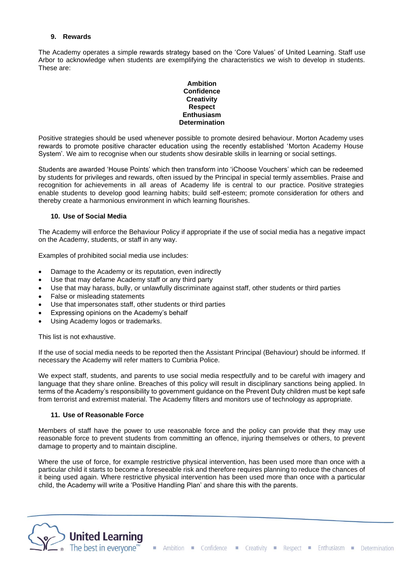#### **9. Rewards**

The Academy operates a simple rewards strategy based on the 'Core Values' of United Learning. Staff use Arbor to acknowledge when students are exemplifying the characteristics we wish to develop in students. These are:

#### **Ambition Confidence Creativity Respect Enthusiasm Determination**

Positive strategies should be used whenever possible to promote desired behaviour. Morton Academy uses rewards to promote positive character education using the recently established 'Morton Academy House System'. We aim to recognise when our students show desirable skills in learning or social settings.

Students are awarded 'House Points' which then transform into 'iChoose Vouchers' which can be redeemed by students for privileges and rewards, often issued by the Principal in special termly assemblies. Praise and recognition for achievements in all areas of Academy life is central to our practice. Positive strategies enable students to develop good learning habits; build self-esteem; promote consideration for others and thereby create a harmonious environment in which learning flourishes.

#### **10. Use of Social Media**

The Academy will enforce the Behaviour Policy if appropriate if the use of social media has a negative impact on the Academy, students, or staff in any way.

Examples of prohibited social media use includes:

- Damage to the Academy or its reputation, even indirectly
- Use that may defame Academy staff or any third party
- Use that may harass, bully, or unlawfully discriminate against staff, other students or third parties
- False or misleading statements
- Use that impersonates staff, other students or third parties
- Expressing opinions on the Academy's behalf
- Using Academy logos or trademarks.

This list is not exhaustive.

If the use of social media needs to be reported then the Assistant Principal (Behaviour) should be informed. If necessary the Academy will refer matters to Cumbria Police.

We expect staff, students, and parents to use social media respectfully and to be careful with imagery and language that they share online. Breaches of this policy will result in disciplinary sanctions being applied. In terms of the Academy's responsibility to government guidance on the Prevent Duty children must be kept safe from terrorist and extremist material. The Academy filters and monitors use of technology as appropriate.

#### **11. Use of Reasonable Force**

Members of staff have the power to use reasonable force and the policy can provide that they may use reasonable force to prevent students from committing an offence, injuring themselves or others, to prevent damage to property and to maintain discipline.

Where the use of force, for example restrictive physical intervention, has been used more than once with a particular child it starts to become a foreseeable risk and therefore requires planning to reduce the chances of it being used again. Where restrictive physical intervention has been used more than once with a particular child, the Academy will write a 'Positive Handling Plan' and share this with the parents.

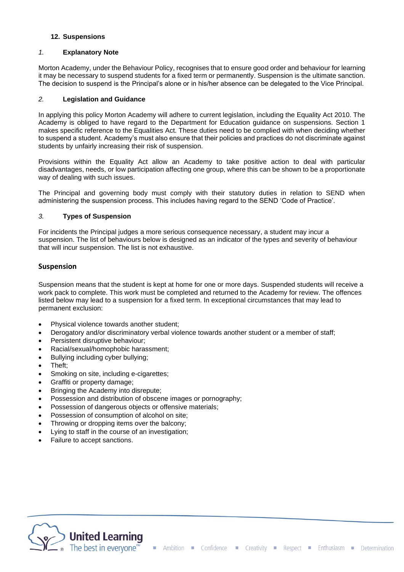## **12. Suspensions**

#### *1.* **Explanatory Note**

Morton Academy, under the Behaviour Policy, recognises that to ensure good order and behaviour for learning it may be necessary to suspend students for a fixed term or permanently. Suspension is the ultimate sanction. The decision to suspend is the Principal's alone or in his/her absence can be delegated to the Vice Principal.

#### *2.* **Legislation and Guidance**

In applying this policy Morton Academy will adhere to current legislation, including the Equality Act 2010. The Academy is obliged to have regard to the Department for Education guidance on suspensions. Section 1 makes specific reference to the Equalities Act. These duties need to be complied with when deciding whether to suspend a student. Academy's must also ensure that their policies and practices do not discriminate against students by unfairly increasing their risk of suspension.

Provisions within the Equality Act allow an Academy to take positive action to deal with particular disadvantages, needs, or low participation affecting one group, where this can be shown to be a proportionate way of dealing with such issues.

The Principal and governing body must comply with their statutory duties in relation to SEND when administering the suspension process. This includes having regard to the SEND 'Code of Practice'.

#### *3.* **Types of Suspension**

For incidents the Principal judges a more serious consequence necessary, a student may incur a suspension. The list of behaviours below is designed as an indicator of the types and severity of behaviour that will incur suspension. The list is not exhaustive.

## **Suspension**

Suspension means that the student is kept at home for one or more days. Suspended students will receive a work pack to complete. This work must be completed and returned to the Academy for review. The offences listed below may lead to a suspension for a fixed term. In exceptional circumstances that may lead to permanent exclusion:

- Physical violence towards another student;
- Derogatory and/or discriminatory verbal violence towards another student or a member of staff;
- Persistent disruptive behaviour;
- Racial/sexual/homophobic harassment;
- Bullying including cyber bullying;
- Theft;
- Smoking on site, including e-cigarettes;
- Graffiti or property damage;
- Bringing the Academy into disrepute;
- Possession and distribution of obscene images or pornography;
- Possession of dangerous objects or offensive materials;
- Possession of consumption of alcohol on site;
- Throwing or dropping items over the balcony;
- Lying to staff in the course of an investigation;
- Failure to accept sanctions.

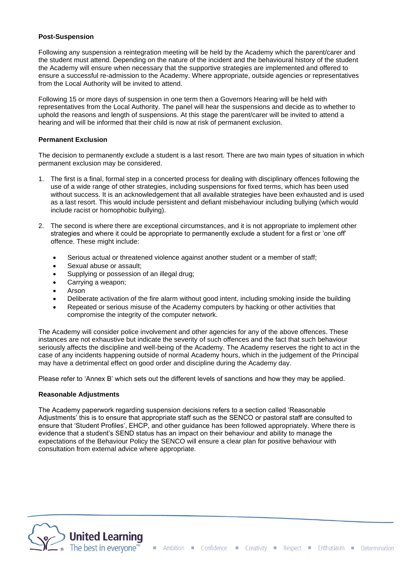#### **Post-Suspension**

Following any suspension a reintegration meeting will be held by the Academy which the parent/carer and the student must attend. Depending on the nature of the incident and the behavioural history of the student the Academy will ensure when necessary that the supportive strategies are implemented and offered to ensure a successful re-admission to the Academy. Where appropriate, outside agencies or representatives from the Local Authority will be invited to attend.

Following 15 or more days of suspension in one term then a Governors Hearing will be held with representatives from the Local Authority. The panel will hear the suspensions and decide as to whether to uphold the reasons and length of suspensions. At this stage the parent/carer will be invited to attend a hearing and will be informed that their child is now at risk of permanent exclusion.

### **Permanent Exclusion**

The decision to permanently exclude a student is a last resort. There are two main types of situation in which permanent exclusion may be considered.

- 1. The first is a final, formal step in a concerted process for dealing with disciplinary offences following the use of a wide range of other strategies, including suspensions for fixed terms, which has been used without success. It is an acknowledgement that all available strategies have been exhausted and is used as a last resort. This would include persistent and defiant misbehaviour including bullying (which would include racist or homophobic bullying).
- 2. The second is where there are exceptional circumstances, and it is not appropriate to implement other strategies and where it could be appropriate to permanently exclude a student for a first or 'one off' offence. These might include:
	- Serious actual or threatened violence against another student or a member of staff;
	- Sexual abuse or assault:
	- Supplying or possession of an illegal drug;
	- Carrying a weapon;
	- Arson
	- Deliberate activation of the fire alarm without good intent, including smoking inside the building
	- Repeated or serious misuse of the Academy computers by hacking or other activities that compromise the integrity of the computer network.

The Academy will consider police involvement and other agencies for any of the above offences. These instances are not exhaustive but indicate the severity of such offences and the fact that such behaviour seriously affects the discipline and well-being of the Academy. The Academy reserves the right to act in the case of any incidents happening outside of normal Academy hours, which in the judgement of the Principal may have a detrimental effect on good order and discipline during the Academy day.

Please refer to 'Annex B' which sets out the different levels of sanctions and how they may be applied.

#### **Reasonable Adjustments**

The Academy paperwork regarding suspension decisions refers to a section called 'Reasonable Adjustments' this is to ensure that appropriate staff such as the SENCO or pastoral staff are consulted to ensure that 'Student Profiles', EHCP, and other guidance has been followed appropriately. Where there is evidence that a student's SEND status has an impact on their behaviour and ability to manage the expectations of the Behaviour Policy the SENCO will ensure a clear plan for positive behaviour with consultation from external advice where appropriate.

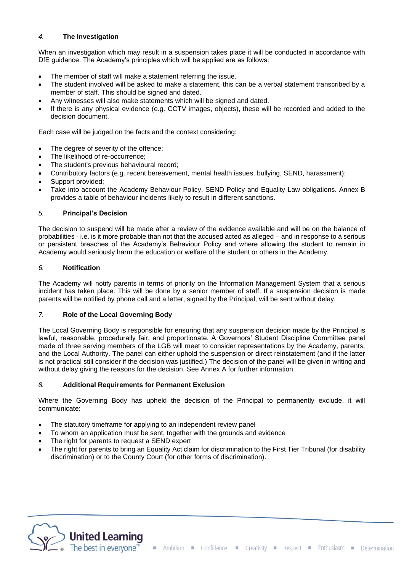## *4.* **The Investigation**

When an investigation which may result in a suspension takes place it will be conducted in accordance with DfE guidance. The Academy's principles which will be applied are as follows:

- The member of staff will make a statement referring the issue.
- The student involved will be asked to make a statement, this can be a verbal statement transcribed by a member of staff. This should be signed and dated.
- Any witnesses will also make statements which will be signed and dated.
- If there is any physical evidence (e.g. CCTV images, objects), these will be recorded and added to the decision document.

Each case will be judged on the facts and the context considering:

- The degree of severity of the offence;
- The likelihood of re-occurrence;
- The student's previous behavioural record;
- Contributory factors (e.g. recent bereavement, mental health issues, bullying, SEND, harassment);
- Support provided:
- Take into account the Academy Behaviour Policy, SEND Policy and Equality Law obligations. Annex B provides a table of behaviour incidents likely to result in different sanctions.

## *5.* **Principal's Decision**

The decision to suspend will be made after a review of the evidence available and will be on the balance of probabilities - i.e. is it more probable than not that the accused acted as alleged – and in response to a serious or persistent breaches of the Academy's Behaviour Policy and where allowing the student to remain in Academy would seriously harm the education or welfare of the student or others in the Academy.

## *6.* **Notification**

The Academy will notify parents in terms of priority on the Information Management System that a serious incident has taken place. This will be done by a senior member of staff. If a suspension decision is made parents will be notified by phone call and a letter, signed by the Principal, will be sent without delay.

## *7.* **Role of the Local Governing Body**

The Local Governing Body is responsible for ensuring that any suspension decision made by the Principal is lawful, reasonable, procedurally fair, and proportionate. A Governors' Student Discipline Committee panel made of three serving members of the LGB will meet to consider representations by the Academy, parents, and the Local Authority. The panel can either uphold the suspension or direct reinstatement (and if the latter is not practical still consider if the decision was justified.) The decision of the panel will be given in writing and without delay giving the reasons for the decision. See Annex A for further information.

## *8.* **Additional Requirements for Permanent Exclusion**

Where the Governing Body has upheld the decision of the Principal to permanently exclude, it will communicate:

- The statutory timeframe for applying to an independent review panel
- To whom an application must be sent, together with the grounds and evidence
- The right for parents to request a SEND expert
- The right for parents to bring an Equality Act claim for discrimination to the First Tier Tribunal (for disability discrimination) or to the County Court (for other forms of discrimination).

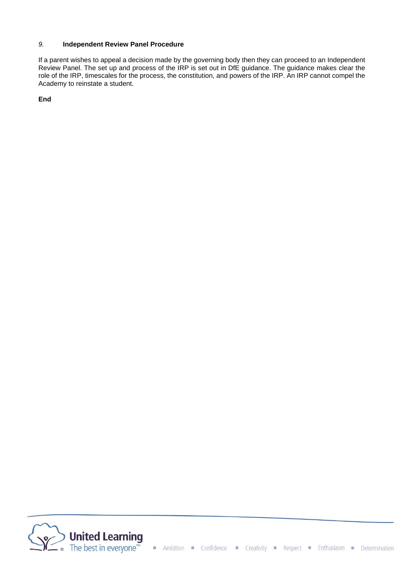## *9.* **Independent Review Panel Procedure**

If a parent wishes to appeal a decision made by the governing body then they can proceed to an Independent Review Panel. The set up and process of the IRP is set out in DfE guidance. The guidance makes clear the role of the IRP, timescales for the process, the constitution, and powers of the IRP. An IRP cannot compel the Academy to reinstate a student.

**End**

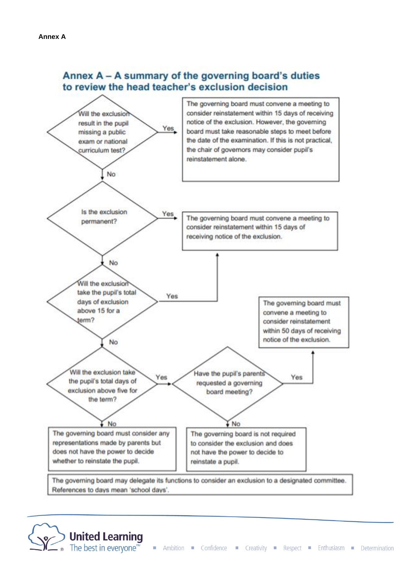## Annex A - A summary of the governing board's duties to review the head teacher's exclusion decision



**United Learning**<br>The best in everyone<sup>ne</sup>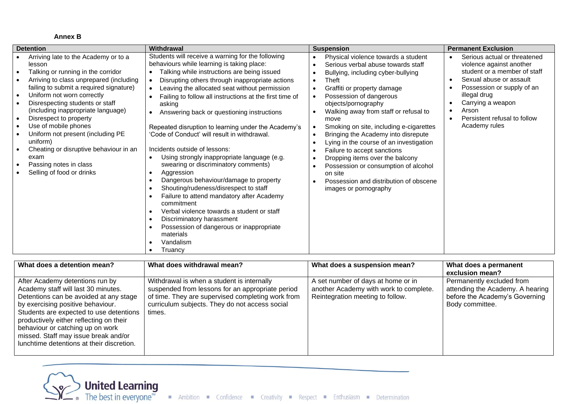## **Annex B**

| <b>Detention</b>                                                                                                                                                                                                                                                                                                                                                                                                                                                                                           | Withdrawal                                                                                                                                                                                                                                                                                                                                                                                                                                                                                                                                                                                                                                                                                                                                                                                                                                                                                                                   | <b>Suspension</b>                                                                                                                                                                                                                                                                                                                                                                                                                                                                                                                                                                                                      | <b>Permanent Exclusion</b>                                                                                                                                                                                                                                                              |
|------------------------------------------------------------------------------------------------------------------------------------------------------------------------------------------------------------------------------------------------------------------------------------------------------------------------------------------------------------------------------------------------------------------------------------------------------------------------------------------------------------|------------------------------------------------------------------------------------------------------------------------------------------------------------------------------------------------------------------------------------------------------------------------------------------------------------------------------------------------------------------------------------------------------------------------------------------------------------------------------------------------------------------------------------------------------------------------------------------------------------------------------------------------------------------------------------------------------------------------------------------------------------------------------------------------------------------------------------------------------------------------------------------------------------------------------|------------------------------------------------------------------------------------------------------------------------------------------------------------------------------------------------------------------------------------------------------------------------------------------------------------------------------------------------------------------------------------------------------------------------------------------------------------------------------------------------------------------------------------------------------------------------------------------------------------------------|-----------------------------------------------------------------------------------------------------------------------------------------------------------------------------------------------------------------------------------------------------------------------------------------|
| Arriving late to the Academy or to a<br>lesson<br>Talking or running in the corridor<br>Arriving to class unprepared (including<br>failing to submit a required signature)<br>Uniform not worn correctly<br>$\bullet$<br>Disrespecting students or staff<br>(including inappropriate language)<br>Disrespect to property<br>Use of mobile phones<br>Uniform not present (including PE<br>uniform)<br>Cheating or disruptive behaviour in an<br>exam<br>Passing notes in class<br>Selling of food or drinks | Students will receive a warning for the following<br>behaviours while learning is taking place:<br>Talking while instructions are being issued<br>Disrupting others through inappropriate actions<br>Leaving the allocated seat without permission<br>Failing to follow all instructions at the first time of<br>asking<br>Answering back or questioning instructions<br>Repeated disruption to learning under the Academy's<br>'Code of Conduct' will result in withdrawal.<br>Incidents outside of lessons:<br>Using strongly inappropriate language (e.g.<br>swearing or discriminatory comments)<br>Aggression<br>Dangerous behaviour/damage to property<br>Shouting/rudeness/disrespect to staff<br>Failure to attend mandatory after Academy<br>commitment<br>Verbal violence towards a student or staff<br>Discriminatory harassment<br>Possession of dangerous or inappropriate<br>materials<br>Vandalism<br>Truancy | Physical violence towards a student<br>$\bullet$<br>Serious verbal abuse towards staff<br>Bullying, including cyber-bullying<br>Theft<br>$\bullet$<br>Graffiti or property damage<br>$\bullet$<br>Possession of dangerous<br>objects/pornography<br>Walking away from staff or refusal to<br>move<br>Smoking on site, including e-cigarettes<br>Bringing the Academy into disrepute<br>Lying in the course of an investigation<br>Failure to accept sanctions<br>Dropping items over the balcony<br>Possession or consumption of alcohol<br>on site<br>Possession and distribution of obscene<br>images or pornography | Serious actual or threatened<br>$\bullet$<br>violence against another<br>student or a member of staff<br>Sexual abuse or assault<br>$\bullet$<br>Possession or supply of an<br>illegal drug<br>Carrying a weapon<br>Arson<br>Persistent refusal to follow<br>$\bullet$<br>Academy rules |

| What does a detention mean?                                                                                                                                                                                                                                                                                                                                          | What does withdrawal mean?                                                                                                                                                                                      | What does a suspension mean?                                                                                     | What does a permanent<br>exclusion mean?                                                                           |
|----------------------------------------------------------------------------------------------------------------------------------------------------------------------------------------------------------------------------------------------------------------------------------------------------------------------------------------------------------------------|-----------------------------------------------------------------------------------------------------------------------------------------------------------------------------------------------------------------|------------------------------------------------------------------------------------------------------------------|--------------------------------------------------------------------------------------------------------------------|
| After Academy detentions run by<br>Academy staff will last 30 minutes.<br>Detentions can be avoided at any stage<br>by exercising positive behaviour.<br>Students are expected to use detentions<br>productively either reflecting on their<br>behaviour or catching up on work<br>missed. Staff may issue break and/or<br>lunchtime detentions at their discretion. | Withdrawal is when a student is internally<br>suspended from lessons for an appropriate period<br>of time. They are supervised completing work from<br>curriculum subjects. They do not access social<br>times. | A set number of days at home or in<br>another Academy with work to complete.<br>Reintegration meeting to follow. | Permanently excluded from<br>attending the Academy. A hearing<br>before the Academy's Governing<br>Body committee. |